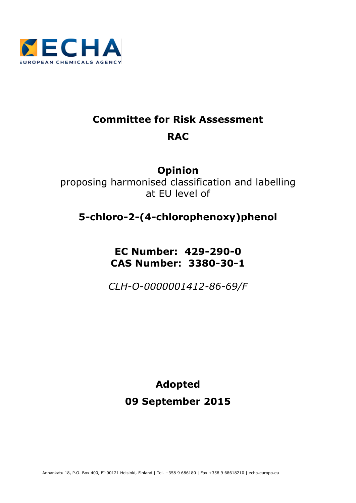

# **Committee for Risk Assessment RAC**

## **Opinion**

proposing harmonised classification and labelling at EU level of

## **5-chloro-2-(4-chlorophenoxy)phenol**

**EC Number: 429-290-0 CAS Number: 3380-30-1**

*CLH-O-0000001412-86-69/F*

**Adopted 09 September 2015**

Annankatu 18, P.O. Box 400, FI-00121 Helsinki, Finland | Tel. +358 9 686180 | Fax +358 9 68618210 | echa.europa.eu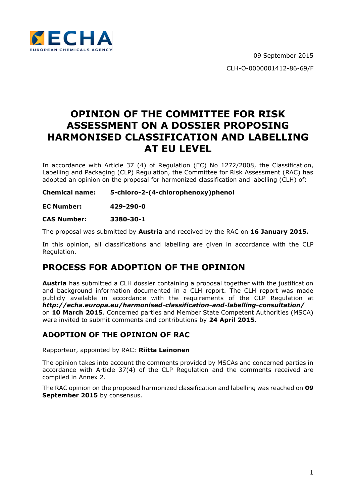

09 September 2015 CLH-O-0000001412-86-69/F

## **OPINION OF THE COMMITTEE FOR RISK ASSESSMENT ON A DOSSIER PROPOSING HARMONISED CLASSIFICATION AND LABELLING AT EU LEVEL**

In accordance with Article 37 (4) of Regulation (EC) No 1272/2008, the Classification, Labelling and Packaging (CLP) Regulation, the Committee for Risk Assessment (RAC) has adopted an opinion on the proposal for harmonized classification and labelling (CLH) of:

**Chemical name: 5-chloro-2-(4-chlorophenoxy)phenol**

**EC Number: 429-290-0**

**CAS Number: 3380-30-1**

The proposal was submitted by **Austria** and received by the RAC on **16 January 2015.**

In this opinion, all classifications and labelling are given in accordance with the CLP Regulation.

## **PROCESS FOR ADOPTION OF THE OPINION**

**Austria** has submitted a CLH dossier containing a proposal together with the justification and background information documented in a CLH report. The CLH report was made publicly available in accordance with the requirements of the CLP Regulation at *http://echa.europa.eu/harmonised-classification-and-labelling-consultation/* on **10 March 2015**. Concerned parties and Member State Competent Authorities (MSCA) were invited to submit comments and contributions by **24 April 2015**.

### **ADOPTION OF THE OPINION OF RAC**

Rapporteur, appointed by RAC: **Riitta Leinonen**

The opinion takes into account the comments provided by MSCAs and concerned parties in accordance with Article 37(4) of the CLP Regulation and the comments received are compiled in Annex 2.

The RAC opinion on the proposed harmonized classification and labelling was reached on **09 September 2015** by consensus.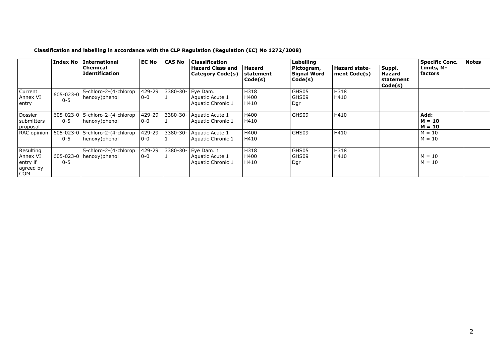|                                                       | <b>Index No</b>      | <b>International</b><br><b>Chemical</b><br><b>Identification</b> | <b>EC No</b>      | <b>CAS No</b> | <b>Classification</b>                              |                                       | Labelling                                   |                                      |                                          | <b>Specific Conc.</b>        | <b>Notes</b> |
|-------------------------------------------------------|----------------------|------------------------------------------------------------------|-------------------|---------------|----------------------------------------------------|---------------------------------------|---------------------------------------------|--------------------------------------|------------------------------------------|------------------------------|--------------|
|                                                       |                      |                                                                  |                   |               | <b>Hazard Class and</b><br>Category Code(s)        | <b>Hazard</b><br>statement<br>Code(s) | Pictogram,<br><b>Signal Word</b><br>Code(s) | <b>Hazard state-</b><br>ment Code(s) | Suppl.<br>Hazard<br>statement<br>Code(s) | Limits, M-<br>factors        |              |
| Current<br>Annex VI<br>entry                          | 605-023-0<br>$0 - 5$ | 5-chloro-2-(4-chlorop<br>henoxy)phenol                           | 429-29<br>$0 - 0$ | 3380-30-      | Eye Dam.<br>Aquatic Acute 1<br>Aquatic Chronic 1   | H318<br>H400<br>H410                  | GHS05<br>GHS09<br>Dgr                       | H318<br>H410                         |                                          |                              |              |
| Dossier<br>submitters<br>proposal                     | 605-023-0<br>$0 - 5$ | 5-chloro-2-(4-chlorop<br>henoxy)phenol                           | 429-29<br>$0 - 0$ | 3380-30-      | Aquatic Acute 1<br>Aquatic Chronic 1               | H400<br>H410                          | GHS09                                       | H410                                 |                                          | Add:<br>$M = 10$<br>$M = 10$ |              |
| RAC opinion                                           | 605-023-0<br>$0 - 5$ | 5-chloro-2-(4-chlorop<br>henoxy)phenol                           | 429-29<br>$0 - 0$ | 3380-30-      | Aquatic Acute 1<br>Aquatic Chronic 1               | H400<br>H410                          | GHS09                                       | H410                                 |                                          | $M = 10$<br>$M = 10$         |              |
| Resulting<br>Annex VI<br>entry if<br>agreed by<br>COM | 605-023-0<br>$0 - 5$ | 5-chloro-2-(4-chlorop<br>henoxy)phenol                           | 429-29<br>$0 - 0$ | 3380-30-      | Eye Dam. 1<br>Aquatic Acute 1<br>Aquatic Chronic 1 | H318<br>H400<br>H410                  | GHS05<br>GHS09<br>Dgr                       | H318<br>H410                         |                                          | $M = 10$<br>$M = 10$         |              |

#### **Classification and labelling in accordance with the CLP Regulation (Regulation (EC) No 1272/2008)**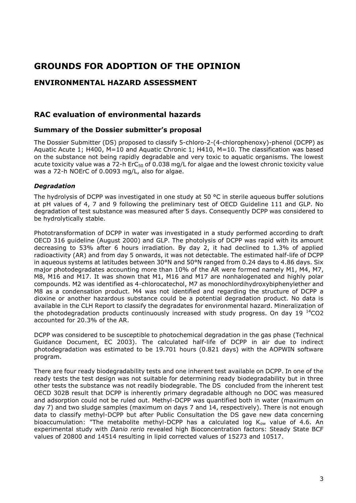## **GROUNDS FOR ADOPTION OF THE OPINION**

## **ENVIRONMENTAL HAZARD ASSESSMENT**

## **RAC evaluation of environmental hazards**

### **Summary of the Dossier submitter's proposal**

The Dossier Submitter (DS) proposed to classify 5-chloro-2-(4-chlorophenoxy)-phenol (DCPP) as Aquatic Acute 1; H400, M=10 and Aquatic Chronic 1; H410, M=10. The classification was based on the substance not being rapidly degradable and very toxic to aquatic organisms. The lowest acute toxicity value was a 72-h ErC $_{50}$  of 0.038 mg/L for algae and the lowest chronic toxicity value was a 72-h NOErC of 0.0093 mg/L, also for algae.

#### *Degradation*

The hydrolysis of DCPP was investigated in one study at 50 °C in sterile aqueous buffer solutions at pH values of 4, 7 and 9 following the preliminary test of OECD Guideline 111 and GLP. No degradation of test substance was measured after 5 days. Consequently DCPP was considered to be hydrolytically stable.

Phototransformation of DCPP in water was investigated in a study performed according to draft OECD 316 guideline (August 2000) and GLP. The photolysis of DCPP was rapid with its amount decreasing to 53% after 6 hours irradiation. By day 2, it had declined to 1.3% of applied radioactivity (AR) and from day 5 onwards, it was not detectable. The estimated half-life of DCPP in aqueous systems at latitudes between 30°N and 50°N ranged from 0.24 days to 4.86 days. Six major photodegradates accounting more than 10% of the AR were formed namely M1, M4, M7, M8, M16 and M17. It was shown that M1, M16 and M17 are nonhalogenated and highly polar compounds. M2 was identified as 4-chlorocatechol, M7 as monochlordihydroxybiphenylether and M8 as a condensation product. M4 was not identified and regarding the structure of DCPP a dioxine or another hazardous substance could be a potential degradation product. No data is available in the CLH Report to classify the degradates for environmental hazard. Mineralization of the photodegradation products continuously increased with study progress. On day  $19^{-14}CO2$ accounted for 20.3% of the AR.

DCPP was considered to be susceptible to photochemical degradation in the gas phase (Technical Guidance Document, EC 2003). The calculated half-life of DCPP in air due to indirect photodegradation was estimated to be 19.701 hours (0.821 days) with the AOPWIN software program.

There are four ready biodegradability tests and one inherent test available on DCPP. In one of the ready tests the test design was not suitable for determining ready biodegradability but in three other tests the substance was not readily biodegrable. The DS concluded from the inherent test OECD 302B result that DCPP is inherently primary degradable although no DOC was measured and adsorption could not be ruled out. Methyl-DCPP was quantified both in water (maximum on day 7) and two sludge samples (maximum on days 7 and 14, respectively). There is not enough data to classify methyl-DCPP but after Public Consultation the DS gave new data concerning bioaccumulation: "The metabolite methyl-DCPP has a calculated log  $K_{ow}$  value of 4.6. An experimental study with *Danio rerio* revealed high Bioconcentration factors: Steady State BCF values of 20800 and 14514 resulting in lipid corrected values of 15273 and 10517.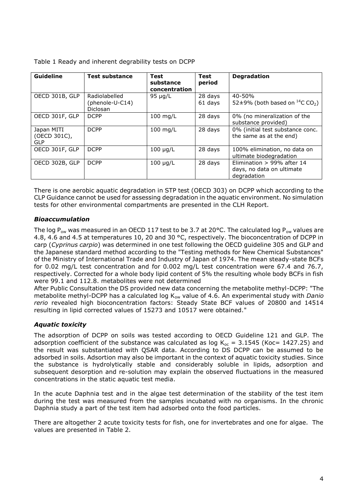| Guideline                         | <b>Test substance</b>                               | <b>Test</b><br>substance<br>concentration | <b>Test</b><br>period | <b>Degradation</b>                                                        |
|-----------------------------------|-----------------------------------------------------|-------------------------------------------|-----------------------|---------------------------------------------------------------------------|
| OECD 301B, GLP                    | Radiolabelled<br>(phenole-U-C14)<br><b>Diclosan</b> | $95 \mu q/L$                              | 28 days<br>61 days    | $40 - 50%$<br>52±9% (both based on $^{14}$ C CO <sub>2</sub> )            |
| OECD 301F, GLP                    | <b>DCPP</b>                                         | $100$ mg/L                                | 28 days               | 0% (no mineralization of the<br>substance provided)                       |
| Japan MITI<br>(OECD 301C),<br>GLP | <b>DCPP</b>                                         | $100$ mg/L                                | 28 days               | 0% (initial test substance conc.<br>the same as at the end)               |
| OECD 301F, GLP                    | <b>DCPP</b>                                         | $100 \mu g/L$                             | 28 days               | 100% elimination, no data on<br>ultimate biodegradation                   |
| OECD 302B, GLP                    | <b>DCPP</b>                                         | $100 \mu g/L$                             | 28 days               | Elimination $> 99\%$ after 14<br>days, no data on ultimate<br>degradation |

Table 1 Ready and inherent degrability tests on DCPP

There is one aerobic aquatic degradation in STP test (OECD 303) on DCPP which according to the CLP Guidance cannot be used for assessing degradation in the aquatic environment. No simulation tests for other environmental compartments are presented in the CLH Report.

#### *Bioaccumulation*

The log P<sub>ow</sub> was measured in an OECD 117 test to be 3.7 at 20°C. The calculated log P<sub>ow</sub> values are 4.8, 4.6 and 4.5 at temperatures 10, 20 and 30 °C, respectively. The bioconcentration of DCPP in carp (*Cyprinus carpio*) was determined in one test following the OECD guideline 305 and GLP and the Japanese standard method according to the "Testing methods for New Chemical Substances" of the Ministry of International Trade and Industry of Japan of 1974. The mean steady-state BCFs for 0.02 mg/L test concentration and for 0.002 mg/L test concentration were 67.4 and 76.7, respectively. Corrected for a whole body lipid content of 5% the resulting whole body BCFs in fish were 99.1 and 112.8. metabolites were not determined

After Public Consultation the DS provided new data concerning the metabolite methyl-DCPP: "The metabolite methyl-DCPP has a calculated log K<sub>ow</sub> value of 4.6. An experimental study with *Danio rerio* revealed high bioconcentration factors: Steady State BCF values of 20800 and 14514 resulting in lipid corrected values of 15273 and 10517 were obtained."

#### *Aquatic toxicity*

The adsorption of DCPP on soils was tested according to OECD Guideline 121 and GLP. The adsorption coefficient of the substance was calculated as log  $K_{oc} = 3.1545$  (Koc= 1427.25) and the result was substantiated with QSAR data. According to DS DCPP can be assumed to be adsorbed in soils. Adsortion may also be important in the context of aquatic toxicity studies. Since the substance is hydrolytically stable and considerably soluble in lipids, adsorption and subsequent desorption and re-solution may explain the observed fluctuations in the measured concentrations in the static aquatic test media.

In the acute Daphnia test and in the algae test determination of the stability of the test item during the test was measured from the samples incubated with no organisms. In the chronic Daphnia study a part of the test item had adsorbed onto the food particles.

There are altogether 2 acute toxicity tests for fish, one for invertebrates and one for algae. The values are presented in Table 2.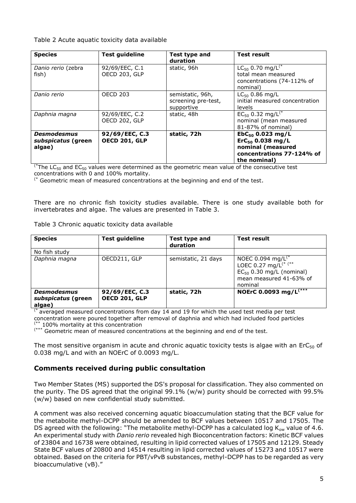Table 2 Acute aquatic toxicity data available

| <b>Species</b>                                     | <b>Test guideline</b>                  | Test type and<br>duration                             | <b>Test result</b>                                                                                               |
|----------------------------------------------------|----------------------------------------|-------------------------------------------------------|------------------------------------------------------------------------------------------------------------------|
| Danio rerio (zebra<br>fish)                        | 92/69/EEC, C.1<br><b>OECD 203, GLP</b> | static, 96h                                           | $LC_{50}$ 0.70 mg/L <sup>(*</sup><br>total mean measured<br>concentrations (74-112% of<br>nominal)               |
| Danio rerio                                        | <b>OECD 203</b>                        | semistatic, 96h,<br>screening pre-test,<br>supportive | $LC_{50}$ 0.86 mg/L<br>initial measured concentration<br>levels                                                  |
| Daphnia magna                                      | 92/69/EEC, C.2<br><b>OECD 202, GLP</b> | static, 48h                                           | $EC_{50}$ 0.32 mg/L <sup>(*</sup><br>nominal (mean measured<br>81-87% of nominal)                                |
| <b>Desmodesmus</b><br>subspicatus (green<br>algae) | 92/69/EEC, C.3<br><b>OECD 201, GLP</b> | static, 72h                                           | $EbC_{50}$ 0.023 mg/L<br>$EIC_{50}$ 0.038 mg/L<br>nominal (measured<br>concentrations 77-124% of<br>the nominal) |

<sup>(\*</sup>The LC<sub>50</sub> and EC<sub>50</sub> values were determined as the geometric mean value of the consecutive test concentrations with 0 and 100% mortality.

 $($  $^*$  Geometric mean of measured concentrations at the beginning and end of the test.

There are no chronic fish toxicity studies available. There is one study available both for invertebrates and algae. The values are presented in Table 3.

Table 3 Chronic aquatic toxicity data available

| <b>Species</b>                                     | <b>Test guideline</b>                  | Test type and<br>duration | <b>Test result</b>                                                                                                                       |  |  |
|----------------------------------------------------|----------------------------------------|---------------------------|------------------------------------------------------------------------------------------------------------------------------------------|--|--|
| No fish study                                      |                                        |                           |                                                                                                                                          |  |  |
| Daphnia magna                                      | OECD211, GLP                           | semistatic, 21 days       | NOEC 0.094 mg/L <sup>(*</sup><br>LOEC 0.27 mg/L <sup>(* (**</sup><br>$EC_{50}$ 0.30 mg/L (nominal)<br>mean measured 41-63% of<br>nominal |  |  |
| <b>Desmodesmus</b><br>subspicatus (green<br>algae) | 92/69/EEC, C.3<br><b>OECD 201, GLP</b> | static, 72h               | NOErC 0.0093 mg/ $L^{\overline{K***}}$                                                                                                   |  |  |

 $($ <sup>\*</sup> averaged measured concentrations from day 14 and 19 for which the used test media per test concentration were poured together after removal of daphnia and which had included food particles 100% mortality at this concentration

(\*\*\* Geometric mean of measured concentrations at the beginning and end of the test.

The most sensitive organism in acute and chronic aquatic toxicity tests is algae with an  $E C_{50}$  of 0.038 mg/L and with an NOErC of 0.0093 mg/L.

#### **Comments received during public consultation**

Two Member States (MS) supported the DS's proposal for classification. They also commented on the purity. The DS agreed that the original 99.1% (w/w) purity should be corrected with 99.5% (w/w) based on new confidential study submitted.

A comment was also received concerning aquatic bioaccumulation stating that the BCF value for the metabolite methyl-DCPP should be amended to BCF values between 10517 and 17505. The DS agreed with the following: "The metabolite methyl-DCPP has a calculated log  $K_{ow}$  value of 4.6. An experimental study with *Danio rerio* revealed high Bioconcentration factors: Kinetic BCF values of 23804 and 16738 were obtained, resulting in lipid corrected values of 17505 and 12129. Steady State BCF values of 20800 and 14514 resulting in lipid corrected values of 15273 and 10517 were obtained. Based on the criteria for PBT/vPvB substances, methyl-DCPP has to be regarded as very bioaccumulative (vB)."